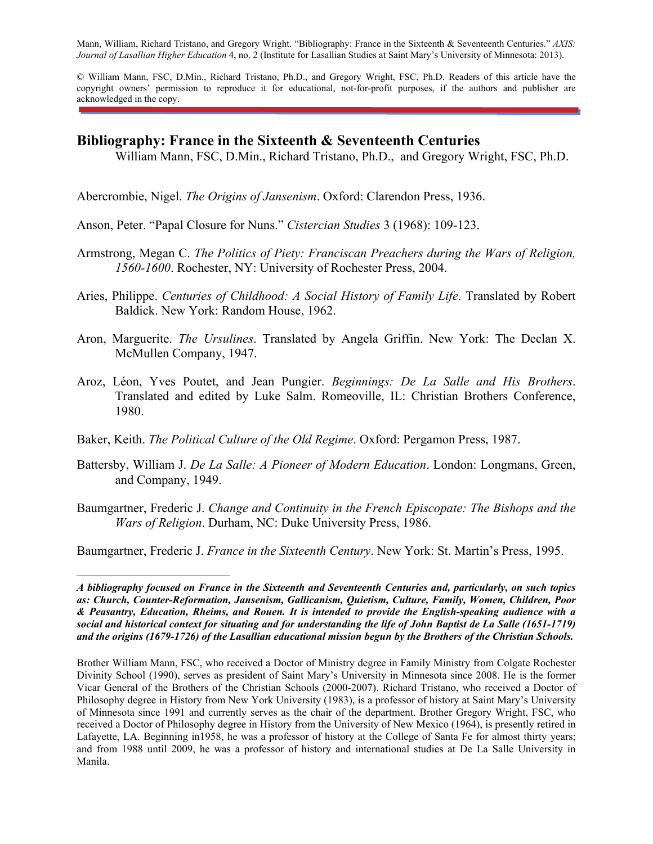Mann, William, Richard Tristano, and Gregory Wright. "Bibliography: France in the Sixteenth & Seventeenth Centuries." *AXIS: Journal of Lasallian Higher Education* 4, no. 2 (Institute for Lasallian Studies at Saint Mary's University of Minnesota: 2013).

© William Mann, FSC, D.Min., Richard Tristano, Ph.D., and Gregory Wright, FSC, Ph.D. Readers of this article have the copyright owners' permission to reproduce it for educational, not-for-profit purposes, if the authors and publisher are acknowledged in the copy.

## **Bibliography: France in the Sixteenth & Seventeenth Centuries**

William Mann, FSC, D.Min., Richard Tristano, Ph.D., and Gregory Wright, FSC, Ph.D.

Abercrombie, Nigel. *The Origins of Jansenism*. Oxford: Clarendon Press, 1936.

- Anson, Peter. "Papal Closure for Nuns." *Cistercian Studies* 3 (1968): 109-123.
- Armstrong, Megan C. *The Politics of Piety: Franciscan Preachers during the Wars of Religion, 1560-1600*. Rochester, NY: University of Rochester Press, 2004.
- Aries, Philippe. *Centuries of Childhood: A Social History of Family Life*. Translated by Robert Baldick. New York: Random House, 1962.
- Aron, Marguerite. *The Ursulines*. Translated by Angela Griffin. New York: The Declan X. McMullen Company, 1947.
- Aroz, Léon, Yves Poutet, and Jean Pungier. *Beginnings: De La Salle and His Brothers*. Translated and edited by Luke Salm. Romeoville, IL: Christian Brothers Conference, 1980.
- Baker, Keith. *The Political Culture of the Old Regime*. Oxford: Pergamon Press, 1987.
- Battersby, William J. *De La Salle: A Pioneer of Modern Education*. London: Longmans, Green, and Company, 1949.
- Baumgartner, Frederic J. *Change and Continuity in the French Episcopate: The Bishops and the Wars of Religion*. Durham, NC: Duke University Press, 1986.

Baumgartner, Frederic J. *France in the Sixteenth Century*. New York: St. Martin's Press, 1995.

 $\overline{a}$ 

*A bibliography focused on France in the Sixteenth and Seventeenth Centuries and, particularly, on such topics as: Church, Counter-Reformation, Jansenism, Gallicanism, Quietism, Culture, Family, Women, Children, Poor & Peasantry, Education, Rheims, and Rouen. It is intended to provide the English-speaking audience with a social and historical context for situating and for understanding the life of John Baptist de La Salle (1651-1719) and the origins (1679-1726) of the Lasallian educational mission begun by the Brothers of the Christian Schools.*

Brother William Mann, FSC, who received a Doctor of Ministry degree in Family Ministry from Colgate Rochester Divinity School (1990), serves as president of Saint Mary's University in Minnesota since 2008. He is the former Vicar General of the Brothers of the Christian Schools (2000-2007). Richard Tristano, who received a Doctor of Philosophy degree in History from New York University (1983), is a professor of history at Saint Mary's University of Minnesota since 1991 and currently serves as the chair of the department. Brother Gregory Wright, FSC, who received a Doctor of Philosophy degree in History from the University of New Mexico (1964), is presently retired in Lafayette, LA. Beginning in1958, he was a professor of history at the College of Santa Fe for almost thirty years; and from 1988 until 2009, he was a professor of history and international studies at De La Salle University in Manila.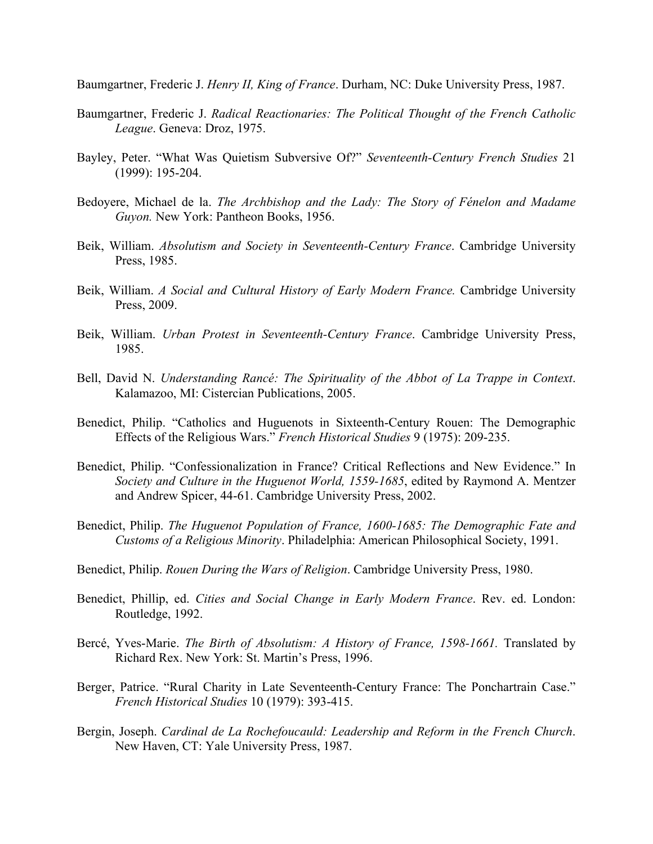Baumgartner, Frederic J. *Henry II, King of France*. Durham, NC: Duke University Press, 1987.

- Baumgartner, Frederic J. *Radical Reactionaries: The Political Thought of the French Catholic League*. Geneva: Droz, 1975.
- Bayley, Peter. "What Was Quietism Subversive Of?" *Seventeenth-Century French Studies* 21 (1999): 195-204.
- Bedoyere, Michael de la. *The Archbishop and the Lady: The Story of Fénelon and Madame Guyon.* New York: Pantheon Books, 1956.
- Beik, William. *Absolutism and Society in Seventeenth-Century France*. Cambridge University Press, 1985.
- Beik, William. *A Social and Cultural History of Early Modern France.* Cambridge University Press, 2009.
- Beik, William. *Urban Protest in Seventeenth-Century France*. Cambridge University Press, 1985.
- Bell, David N. *Understanding Rancé: The Spirituality of the Abbot of La Trappe in Context*. Kalamazoo, MI: Cistercian Publications, 2005.
- Benedict, Philip. "Catholics and Huguenots in Sixteenth-Century Rouen: The Demographic Effects of the Religious Wars." *French Historical Studies* 9 (1975): 209-235.
- Benedict, Philip. "Confessionalization in France? Critical Reflections and New Evidence." In *Society and Culture in the Huguenot World, 1559-1685*, edited by Raymond A. Mentzer and Andrew Spicer, 44-61. Cambridge University Press, 2002.
- Benedict, Philip. *The Huguenot Population of France, 1600-1685: The Demographic Fate and Customs of a Religious Minority*. Philadelphia: American Philosophical Society, 1991.
- Benedict, Philip. *Rouen During the Wars of Religion*. Cambridge University Press, 1980.
- Benedict, Phillip, ed. *Cities and Social Change in Early Modern France*. Rev. ed. London: Routledge, 1992.
- Bercé, Yves-Marie. *The Birth of Absolutism: A History of France, 1598-1661.* Translated by Richard Rex. New York: St. Martin's Press, 1996.
- Berger, Patrice. "Rural Charity in Late Seventeenth-Century France: The Ponchartrain Case." *French Historical Studies* 10 (1979): 393-415.
- Bergin, Joseph. *Cardinal de La Rochefoucauld: Leadership and Reform in the French Church*. New Haven, CT: Yale University Press, 1987.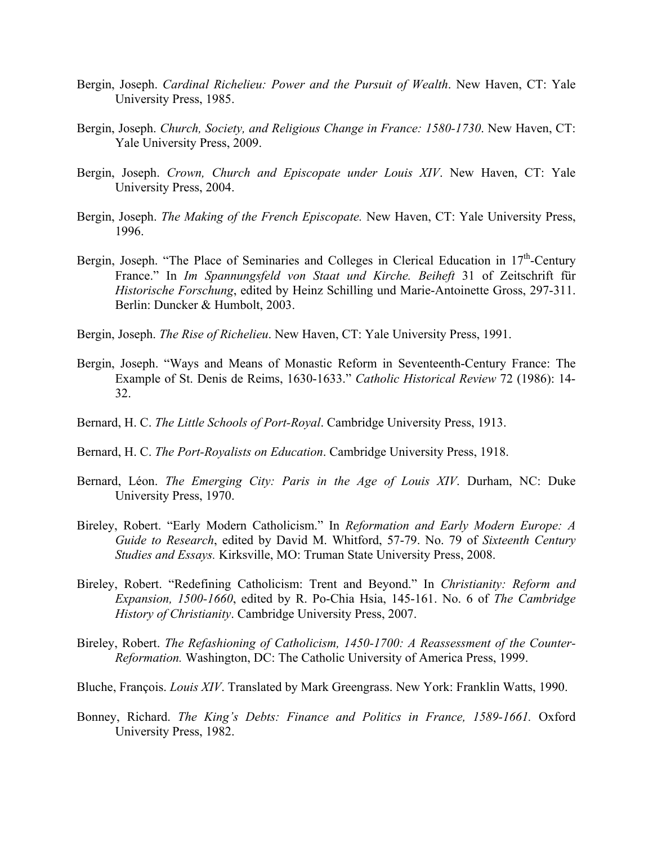- Bergin, Joseph. *Cardinal Richelieu: Power and the Pursuit of Wealth*. New Haven, CT: Yale University Press, 1985.
- Bergin, Joseph. *Church, Society, and Religious Change in France: 1580-1730*. New Haven, CT: Yale University Press, 2009.
- Bergin, Joseph. *Crown, Church and Episcopate under Louis XIV*. New Haven, CT: Yale University Press, 2004.
- Bergin, Joseph. *The Making of the French Episcopate.* New Haven, CT: Yale University Press, 1996.
- Bergin, Joseph. "The Place of Seminaries and Colleges in Clerical Education in  $17<sup>th</sup>$ -Century France." In *Im Spannungsfeld von Staat und Kirche. Beiheft* 31 of Zeitschrift für *Historische Forschung*, edited by Heinz Schilling und Marie-Antoinette Gross, 297-311. Berlin: Duncker & Humbolt, 2003.
- Bergin, Joseph. *The Rise of Richelieu*. New Haven, CT: Yale University Press, 1991.
- Bergin, Joseph. "Ways and Means of Monastic Reform in Seventeenth-Century France: The Example of St. Denis de Reims, 1630-1633." *Catholic Historical Review* 72 (1986): 14- 32.
- Bernard, H. C. *The Little Schools of Port-Royal*. Cambridge University Press, 1913.
- Bernard, H. C. *The Port-Royalists on Education*. Cambridge University Press, 1918.
- Bernard, Léon. *The Emerging City: Paris in the Age of Louis XIV*. Durham, NC: Duke University Press, 1970.
- Bireley, Robert. "Early Modern Catholicism." In *Reformation and Early Modern Europe: A Guide to Research*, edited by David M. Whitford, 57-79. No. 79 of *Sixteenth Century Studies and Essays.* Kirksville, MO: Truman State University Press, 2008.
- Bireley, Robert. "Redefining Catholicism: Trent and Beyond." In *Christianity: Reform and Expansion, 1500-1660*, edited by R. Po-Chia Hsia, 145-161. No. 6 of *The Cambridge History of Christianity*. Cambridge University Press, 2007.
- Bireley, Robert. *The Refashioning of Catholicism, 1450-1700: A Reassessment of the Counter-Reformation.* Washington, DC: The Catholic University of America Press, 1999.
- Bluche, François. *Louis XIV*. Translated by Mark Greengrass. New York: Franklin Watts, 1990.
- Bonney, Richard. *The King's Debts: Finance and Politics in France, 1589-1661.* Oxford University Press, 1982.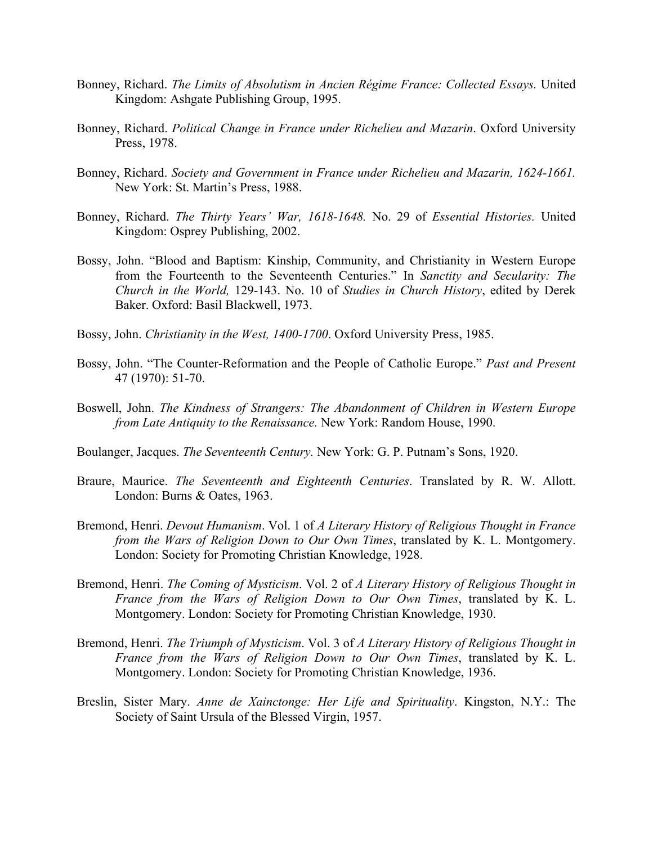- Bonney, Richard. *The Limits of Absolutism in Ancien Régime France: Collected Essays.* United Kingdom: Ashgate Publishing Group, 1995.
- Bonney, Richard. *Political Change in France under Richelieu and Mazarin*. Oxford University Press, 1978.
- Bonney, Richard. *Society and Government in France under Richelieu and Mazarin, 1624-1661.* New York: St. Martin's Press, 1988.
- Bonney, Richard. *The Thirty Years' War, 1618-1648.* No. 29 of *Essential Histories.* United Kingdom: Osprey Publishing, 2002.
- Bossy, John. "Blood and Baptism: Kinship, Community, and Christianity in Western Europe from the Fourteenth to the Seventeenth Centuries." In *Sanctity and Secularity: The Church in the World,* 129-143. No. 10 of *Studies in Church History*, edited by Derek Baker. Oxford: Basil Blackwell, 1973.
- Bossy, John. *Christianity in the West, 1400-1700*. Oxford University Press, 1985.
- Bossy, John. "The Counter-Reformation and the People of Catholic Europe." *Past and Present* 47 (1970): 51-70.
- Boswell, John. *The Kindness of Strangers: The Abandonment of Children in Western Europe from Late Antiquity to the Renaissance.* New York: Random House, 1990.
- Boulanger, Jacques. *The Seventeenth Century.* New York: G. P. Putnam's Sons, 1920.
- Braure, Maurice. *The Seventeenth and Eighteenth Centuries*. Translated by R. W. Allott. London: Burns & Oates, 1963.
- Bremond, Henri. *Devout Humanism*. Vol. 1 of *A Literary History of Religious Thought in France from the Wars of Religion Down to Our Own Times*, translated by K. L. Montgomery. London: Society for Promoting Christian Knowledge, 1928.
- Bremond, Henri. *The Coming of Mysticism*. Vol. 2 of *A Literary History of Religious Thought in France from the Wars of Religion Down to Our Own Times*, translated by K. L. Montgomery. London: Society for Promoting Christian Knowledge, 1930.
- Bremond, Henri. *The Triumph of Mysticism*. Vol. 3 of *A Literary History of Religious Thought in France from the Wars of Religion Down to Our Own Times*, translated by K. L. Montgomery. London: Society for Promoting Christian Knowledge, 1936.
- Breslin, Sister Mary. *Anne de Xainctonge: Her Life and Spirituality*. Kingston, N.Y.: The Society of Saint Ursula of the Blessed Virgin, 1957.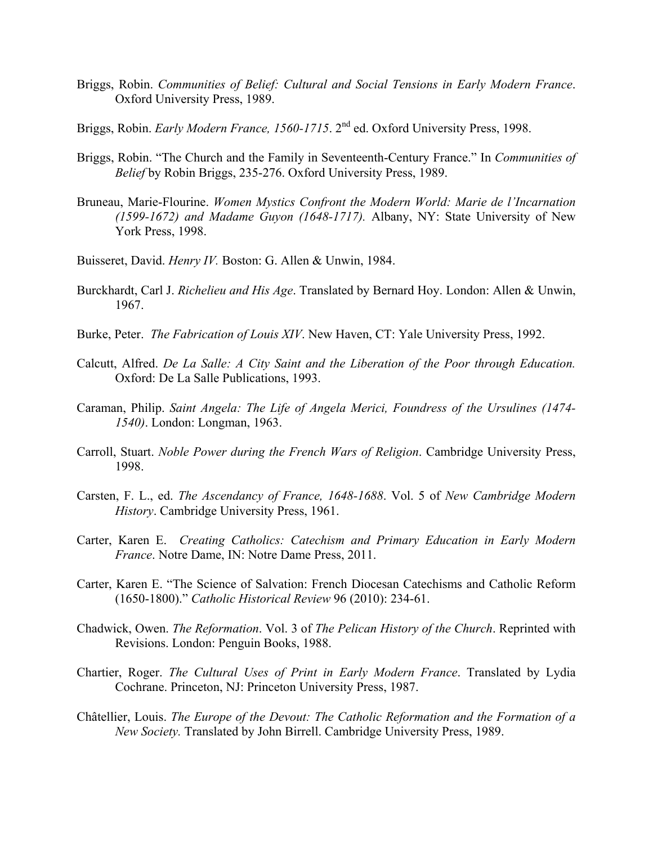- Briggs, Robin. *Communities of Belief: Cultural and Social Tensions in Early Modern France*. Oxford University Press, 1989.
- Briggs, Robin. *Early Modern France, 1560-1715*. 2<sup>nd</sup> ed. Oxford University Press, 1998.
- Briggs, Robin. "The Church and the Family in Seventeenth-Century France." In *Communities of Belief* by Robin Briggs, 235-276. Oxford University Press, 1989.
- Bruneau, Marie-Flourine. *Women Mystics Confront the Modern World: Marie de l'Incarnation (1599-1672) and Madame Guyon (1648-1717).* Albany, NY: State University of New York Press, 1998.
- Buisseret, David. *Henry IV.* Boston: G. Allen & Unwin, 1984.
- Burckhardt, Carl J. *Richelieu and His Age*. Translated by Bernard Hoy. London: Allen & Unwin, 1967.
- Burke, Peter. *The Fabrication of Louis XIV*. New Haven, CT: Yale University Press, 1992.
- Calcutt, Alfred. *De La Salle: A City Saint and the Liberation of the Poor through Education.* Oxford: De La Salle Publications, 1993.
- Caraman, Philip. *Saint Angela: The Life of Angela Merici, Foundress of the Ursulines (1474- 1540)*. London: Longman, 1963.
- Carroll, Stuart. *Noble Power during the French Wars of Religion*. Cambridge University Press, 1998.
- Carsten, F. L., ed. *The Ascendancy of France, 1648-1688*. Vol. 5 of *New Cambridge Modern History*. Cambridge University Press, 1961.
- Carter, Karen E. *Creating Catholics: Catechism and Primary Education in Early Modern France*. Notre Dame, IN: Notre Dame Press, 2011.
- Carter, Karen E. "The Science of Salvation: French Diocesan Catechisms and Catholic Reform (1650-1800)." *Catholic Historical Review* 96 (2010): 234-61.
- Chadwick, Owen. *The Reformation*. Vol. 3 of *The Pelican History of the Church*. Reprinted with Revisions. London: Penguin Books, 1988.
- Chartier, Roger. *The Cultural Uses of Print in Early Modern France*. Translated by Lydia Cochrane. Princeton, NJ: Princeton University Press, 1987.
- Châtellier, Louis. *The Europe of the Devout: The Catholic Reformation and the Formation of a New Society.* Translated by John Birrell. Cambridge University Press, 1989.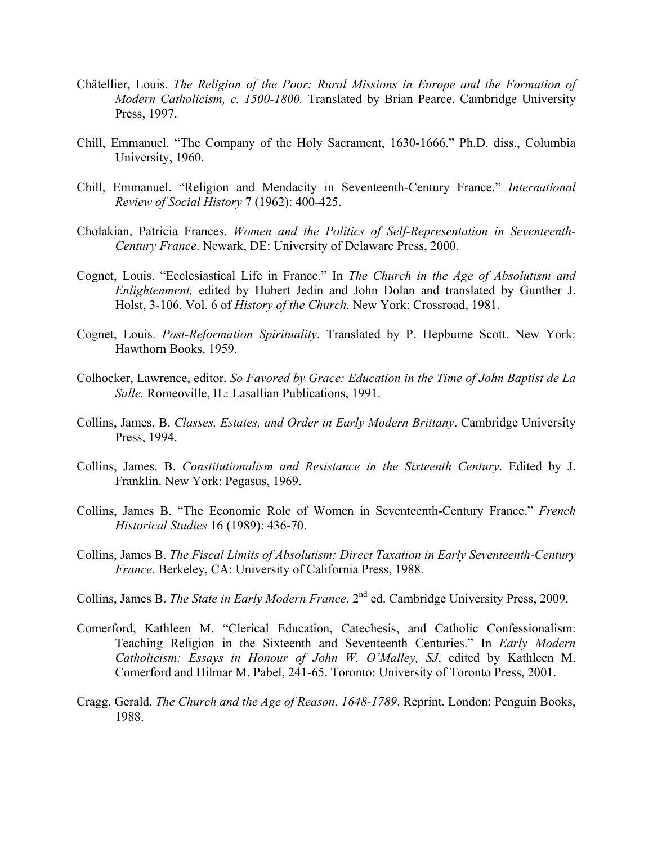- Châtellier, Louis. *The Religion of the Poor: Rural Missions in Europe and the Formation of Modern Catholicism, c. 1500-1800.* Translated by Brian Pearce. Cambridge University Press, 1997.
- Chill, Emmanuel. "The Company of the Holy Sacrament, 1630-1666." Ph.D. diss., Columbia University, 1960.
- Chill, Emmanuel. "Religion and Mendacity in Seventeenth-Century France." *International Review of Social History* 7 (1962): 400-425.
- Cholakian, Patricia Frances. *Women and the Politics of Self-Representation in Seventeenth-Century France*. Newark, DE: University of Delaware Press, 2000.
- Cognet, Louis. "Ecclesiastical Life in France." In *The Church in the Age of Absolutism and Enlightenment,* edited by Hubert Jedin and John Dolan and translated by Gunther J. Holst, 3-106. Vol. 6 of *History of the Church*. New York: Crossroad, 1981.
- Cognet, Louis. *Post-Reformation Spirituality*. Translated by P. Hepburne Scott. New York: Hawthorn Books, 1959.
- Colhocker, Lawrence, editor. *So Favored by Grace: Education in the Time of John Baptist de La Salle.* Romeoville, IL: Lasallian Publications, 1991.
- Collins, James. B. *Classes, Estates, and Order in Early Modern Brittany*. Cambridge University Press, 1994.
- Collins, James. B. *Constitutionalism and Resistance in the Sixteenth Century*. Edited by J. Franklin. New York: Pegasus, 1969.
- Collins, James B. "The Economic Role of Women in Seventeenth-Century France." *French Historical Studies* 16 (1989): 436-70.
- Collins, James B. *The Fiscal Limits of Absolutism: Direct Taxation in Early Seventeenth-Century France*. Berkeley, CA: University of California Press, 1988.
- Collins, James B. *The State in Early Modern France*. 2nd ed. Cambridge University Press, 2009.
- Comerford, Kathleen M. "Clerical Education, Catechesis, and Catholic Confessionalism: Teaching Religion in the Sixteenth and Seventeenth Centuries." In *Early Modern Catholicism: Essays in Honour of John W. O'Malley, SJ*, edited by Kathleen M. Comerford and Hilmar M. Pabel, 241-65. Toronto: University of Toronto Press, 2001.
- Cragg, Gerald. *The Church and the Age of Reason, 1648-1789*. Reprint. London: Penguin Books, 1988.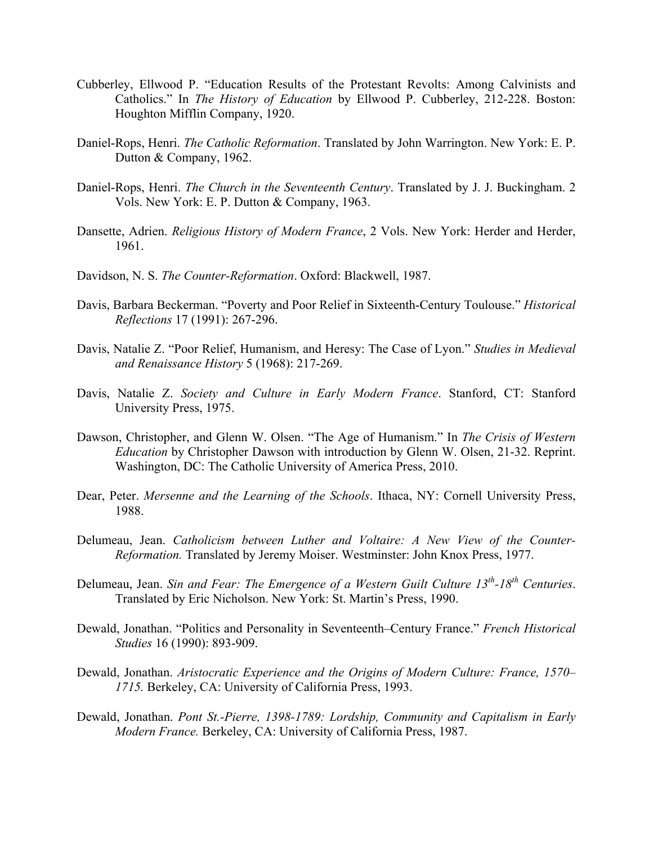- Cubberley, Ellwood P. "Education Results of the Protestant Revolts: Among Calvinists and Catholics." In *The History of Education* by Ellwood P. Cubberley, 212-228. Boston: Houghton Mifflin Company, 1920.
- Daniel-Rops, Henri. *The Catholic Reformation*. Translated by John Warrington. New York: E. P. Dutton & Company, 1962.
- Daniel-Rops, Henri. *The Church in the Seventeenth Century*. Translated by J. J. Buckingham. 2 Vols. New York: E. P. Dutton & Company, 1963.
- Dansette, Adrien. *Religious History of Modern France*, 2 Vols. New York: Herder and Herder, 1961.
- Davidson, N. S. *The Counter-Reformation*. Oxford: Blackwell, 1987.
- Davis, Barbara Beckerman. "Poverty and Poor Relief in Sixteenth-Century Toulouse." *Historical Reflections* 17 (1991): 267-296.
- Davis, Natalie Z. "Poor Relief, Humanism, and Heresy: The Case of Lyon." *Studies in Medieval and Renaissance History* 5 (1968): 217-269.
- Davis, Natalie Z. *Society and Culture in Early Modern France*. Stanford, CT: Stanford University Press, 1975.
- Dawson, Christopher, and Glenn W. Olsen. "The Age of Humanism." In *The Crisis of Western Education* by Christopher Dawson with introduction by Glenn W. Olsen, 21-32. Reprint. Washington, DC: The Catholic University of America Press, 2010.
- Dear, Peter. *Mersenne and the Learning of the Schools*. Ithaca, NY: Cornell University Press, 1988.
- Delumeau, Jean. *Catholicism between Luther and Voltaire: A New View of the Counter-Reformation.* Translated by Jeremy Moiser. Westminster: John Knox Press, 1977.
- Delumeau, Jean. *Sin and Fear: The Emergence of a Western Guilt Culture 13<sup>th</sup>-18<sup>th</sup> Centuries.* Translated by Eric Nicholson. New York: St. Martin's Press, 1990.
- Dewald, Jonathan. "Politics and Personality in Seventeenth–Century France." *French Historical Studies* 16 (1990): 893-909.
- Dewald, Jonathan. *Aristocratic Experience and the Origins of Modern Culture: France, 1570– 1715.* Berkeley, CA: University of California Press, 1993.
- Dewald, Jonathan. *Pont St.-Pierre, 1398-1789: Lordship, Community and Capitalism in Early Modern France.* Berkeley, CA: University of California Press, 1987.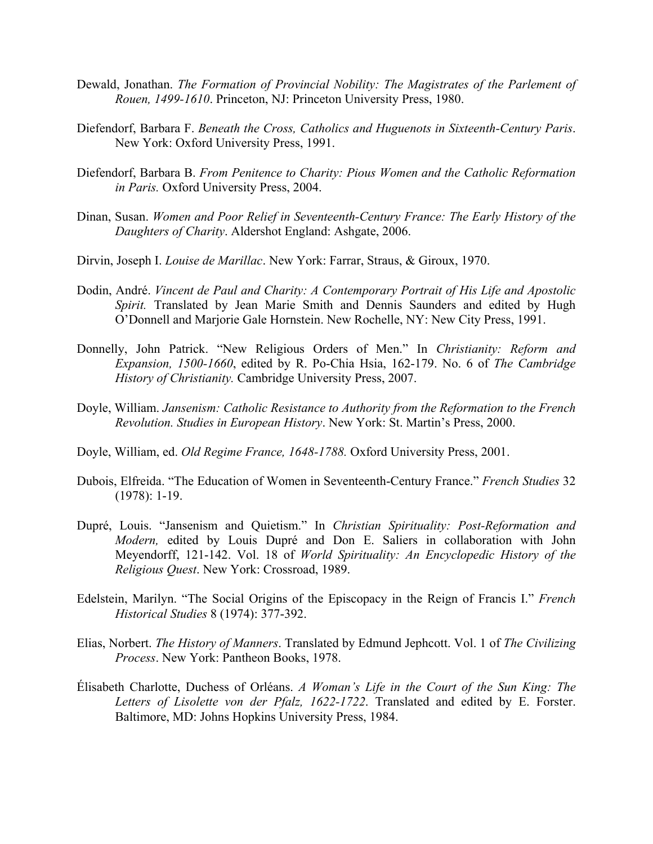- Dewald, Jonathan. *The Formation of Provincial Nobility: The Magistrates of the Parlement of Rouen, 1499-1610*. Princeton, NJ: Princeton University Press, 1980.
- Diefendorf, Barbara F. *Beneath the Cross, Catholics and Huguenots in Sixteenth-Century Paris*. New York: Oxford University Press, 1991.
- Diefendorf, Barbara B. *From Penitence to Charity: Pious Women and the Catholic Reformation in Paris.* Oxford University Press, 2004.
- Dinan, Susan. *Women and Poor Relief in Seventeenth-Century France: The Early History of the Daughters of Charity*. Aldershot England: Ashgate, 2006.
- Dirvin, Joseph I. *Louise de Marillac*. New York: Farrar, Straus, & Giroux, 1970.
- Dodin, André. *Vincent de Paul and Charity: A Contemporary Portrait of His Life and Apostolic Spirit.* Translated by Jean Marie Smith and Dennis Saunders and edited by Hugh O'Donnell and Marjorie Gale Hornstein. New Rochelle, NY: New City Press, 1991.
- Donnelly, John Patrick. "New Religious Orders of Men." In *Christianity: Reform and Expansion, 1500-1660*, edited by R. Po-Chia Hsia, 162-179. No. 6 of *The Cambridge History of Christianity.* Cambridge University Press, 2007.
- Doyle, William. *Jansenism: Catholic Resistance to Authority from the Reformation to the French Revolution. Studies in European History*. New York: St. Martin's Press, 2000.
- Doyle, William, ed. *Old Regime France, 1648-1788.* Oxford University Press, 2001.
- Dubois, Elfreida. "The Education of Women in Seventeenth-Century France." *French Studies* 32 (1978): 1-19.
- Dupré, Louis. "Jansenism and Quietism." In *Christian Spirituality: Post-Reformation and Modern,* edited by Louis Dupré and Don E. Saliers in collaboration with John Meyendorff, 121-142. Vol. 18 of *World Spirituality: An Encyclopedic History of the Religious Quest*. New York: Crossroad, 1989.
- Edelstein, Marilyn. "The Social Origins of the Episcopacy in the Reign of Francis I." *French Historical Studies* 8 (1974): 377-392.
- Elias, Norbert. *The History of Manners*. Translated by Edmund Jephcott. Vol. 1 of *The Civilizing Process*. New York: Pantheon Books, 1978.
- Élisabeth Charlotte, Duchess of Orléans. *A Woman's Life in the Court of the Sun King: The Letters of Lisolette von der Pfalz, 1622-1722*. Translated and edited by E. Forster. Baltimore, MD: Johns Hopkins University Press, 1984.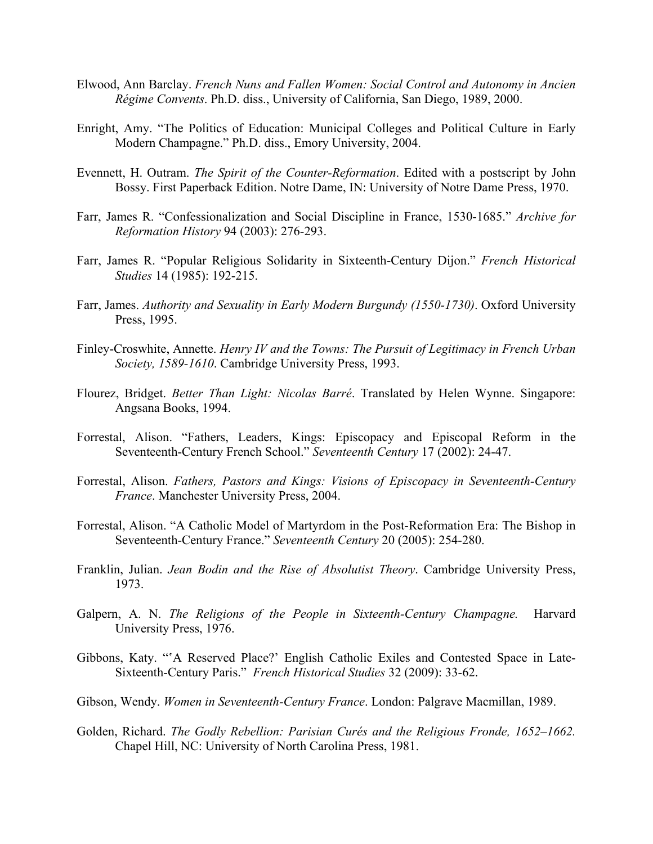- Elwood, Ann Barclay. *French Nuns and Fallen Women: Social Control and Autonomy in Ancien Régime Convents*. Ph.D. diss., University of California, San Diego, 1989, 2000.
- Enright, Amy. "The Politics of Education: Municipal Colleges and Political Culture in Early Modern Champagne." Ph.D. diss., Emory University, 2004.
- Evennett, H. Outram. *The Spirit of the Counter-Reformation*. Edited with a postscript by John Bossy. First Paperback Edition. Notre Dame, IN: University of Notre Dame Press, 1970.
- Farr, James R. "Confessionalization and Social Discipline in France, 1530-1685." *Archive for Reformation History* 94 (2003): 276-293.
- Farr, James R. "Popular Religious Solidarity in Sixteenth-Century Dijon." *French Historical Studies* 14 (1985): 192-215.
- Farr, James. *Authority and Sexuality in Early Modern Burgundy (1550-1730)*. Oxford University Press, 1995.
- Finley-Croswhite, Annette. *Henry IV and the Towns: The Pursuit of Legitimacy in French Urban Society, 1589-1610*. Cambridge University Press, 1993.
- Flourez, Bridget. *Better Than Light: Nicolas Barré*. Translated by Helen Wynne. Singapore: Angsana Books, 1994.
- Forrestal, Alison. "Fathers, Leaders, Kings: Episcopacy and Episcopal Reform in the Seventeenth-Century French School." *Seventeenth Century* 17 (2002): 24-47.
- Forrestal, Alison. *Fathers, Pastors and Kings: Visions of Episcopacy in Seventeenth-Century France*. Manchester University Press, 2004.
- Forrestal, Alison. "A Catholic Model of Martyrdom in the Post-Reformation Era: The Bishop in Seventeenth-Century France." *Seventeenth Century* 20 (2005): 254-280.
- Franklin, Julian. *Jean Bodin and the Rise of Absolutist Theory*. Cambridge University Press, 1973.
- Galpern, A. N. *The Religions of the People in Sixteenth-Century Champagne.* Harvard University Press, 1976.
- Gibbons, Katy. "ʽA Reserved Place?' English Catholic Exiles and Contested Space in Late-Sixteenth-Century Paris." *French Historical Studies* 32 (2009): 33-62.
- Gibson, Wendy. *Women in Seventeenth-Century France*. London: Palgrave Macmillan, 1989.
- Golden, Richard. *The Godly Rebellion: Parisian Curés and the Religious Fronde, 1652–1662.*  Chapel Hill, NC: University of North Carolina Press, 1981.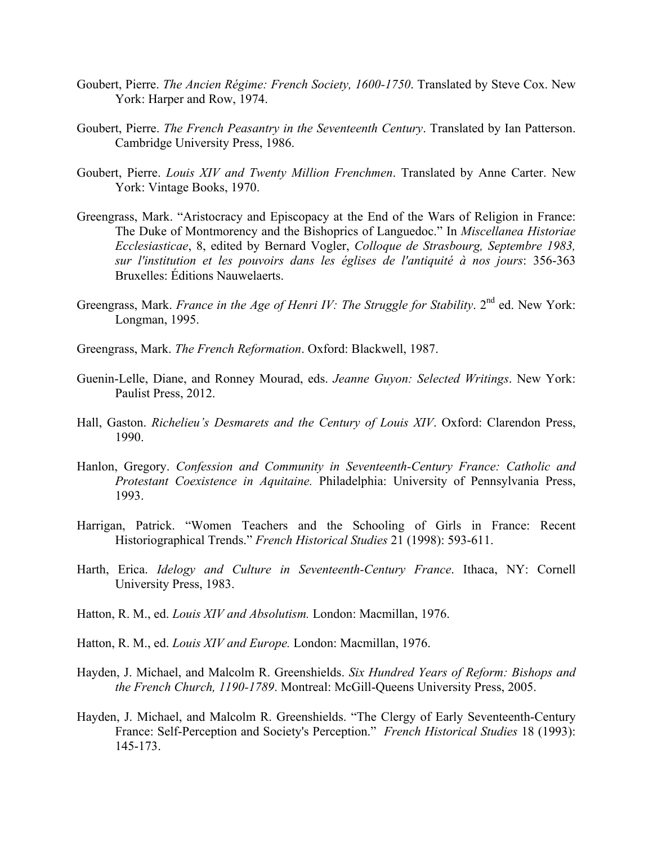- Goubert, Pierre. *The Ancien Régime: French Society, 1600-1750*. Translated by Steve Cox. New York: Harper and Row, 1974.
- Goubert, Pierre. *The French Peasantry in the Seventeenth Century*. Translated by Ian Patterson. Cambridge University Press, 1986.
- Goubert, Pierre. *Louis XIV and Twenty Million Frenchmen*. Translated by Anne Carter. New York: Vintage Books, 1970.
- Greengrass, Mark. "Aristocracy and Episcopacy at the End of the Wars of Religion in France: The Duke of Montmorency and the Bishoprics of Languedoc." In *Miscellanea Historiae Ecclesiasticae*, 8, edited by Bernard Vogler, *Colloque de Strasbourg, Septembre 1983, sur l'institution et les pouvoirs dans les églises de l'antiquité à nos jours*: 356-363 Bruxelles: Éditions Nauwelaerts.
- Greengrass, Mark. *France in the Age of Henri IV: The Struggle for Stability*. 2<sup>nd</sup> ed. New York: Longman, 1995.
- Greengrass, Mark. *The French Reformation*. Oxford: Blackwell, 1987.
- Guenin-Lelle, Diane, and Ronney Mourad, eds. *Jeanne Guyon: Selected Writings*. New York: Paulist Press, 2012.
- Hall, Gaston. *Richelieu's Desmarets and the Century of Louis XIV*. Oxford: Clarendon Press, 1990.
- Hanlon, Gregory. *Confession and Community in Seventeenth-Century France: Catholic and Protestant Coexistence in Aquitaine.* Philadelphia: University of Pennsylvania Press, 1993.
- Harrigan, Patrick. "Women Teachers and the Schooling of Girls in France: Recent Historiographical Trends." *French Historical Studies* 21 (1998): 593-611.
- Harth, Erica. *Idelogy and Culture in Seventeenth-Century France*. Ithaca, NY: Cornell University Press, 1983.
- Hatton, R. M., ed. *Louis XIV and Absolutism.* London: Macmillan, 1976.
- Hatton, R. M., ed. *Louis XIV and Europe.* London: Macmillan, 1976.
- Hayden, J. Michael, and Malcolm R. Greenshields. *Six Hundred Years of Reform: Bishops and the French Church, 1190-1789*. Montreal: McGill-Queens University Press, 2005.
- Hayden, J. Michael, and Malcolm R. Greenshields. "The Clergy of Early Seventeenth-Century France: Self-Perception and Society's Perception." *French Historical Studies* 18 (1993): 145-173.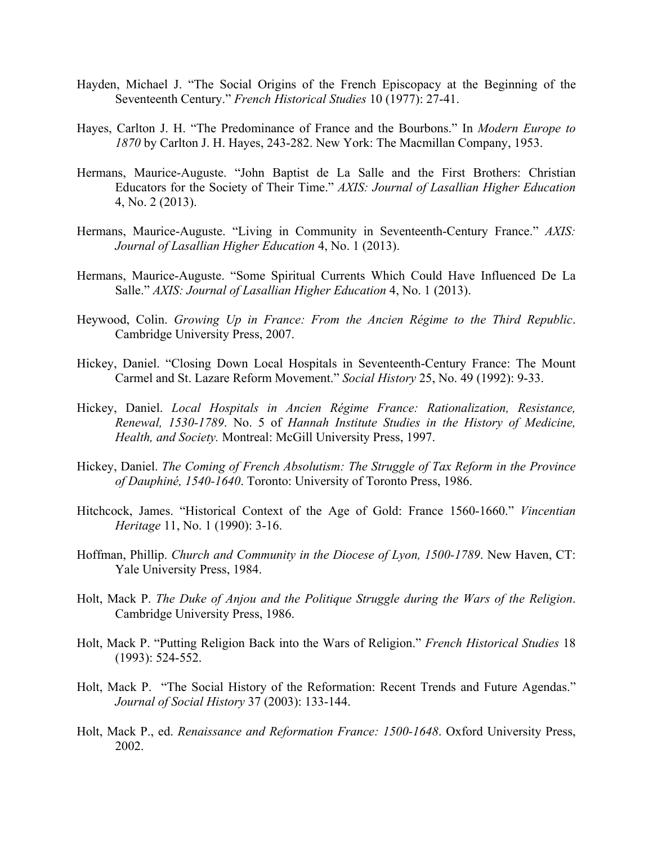- Hayden, Michael J. "The Social Origins of the French Episcopacy at the Beginning of the Seventeenth Century." *French Historical Studies* 10 (1977): 27-41.
- Hayes, Carlton J. H. "The Predominance of France and the Bourbons." In *Modern Europe to 1870* by Carlton J. H. Hayes, 243-282. New York: The Macmillan Company, 1953.
- Hermans, Maurice-Auguste. "John Baptist de La Salle and the First Brothers: Christian Educators for the Society of Their Time." *AXIS: Journal of Lasallian Higher Education* 4, No. 2 (2013).
- Hermans, Maurice-Auguste. "Living in Community in Seventeenth-Century France." *AXIS: Journal of Lasallian Higher Education* 4, No. 1 (2013).
- Hermans, Maurice-Auguste. "Some Spiritual Currents Which Could Have Influenced De La Salle." *AXIS: Journal of Lasallian Higher Education* 4, No. 1 (2013).
- Heywood, Colin. *Growing Up in France: From the Ancien Régime to the Third Republic*. Cambridge University Press, 2007.
- Hickey, Daniel. "Closing Down Local Hospitals in Seventeenth-Century France: The Mount Carmel and St. Lazare Reform Movement." *Social History* 25, No. 49 (1992): 9-33.
- Hickey, Daniel. *Local Hospitals in Ancien Régime France: Rationalization, Resistance, Renewal, 1530-1789*. No. 5 of *Hannah Institute Studies in the History of Medicine, Health, and Society.* Montreal: McGill University Press, 1997.
- Hickey, Daniel. *The Coming of French Absolutism: The Struggle of Tax Reform in the Province of Dauphiné, 1540-1640*. Toronto: University of Toronto Press, 1986.
- Hitchcock, James. "Historical Context of the Age of Gold: France 1560-1660." *Vincentian Heritage* 11, No. 1 (1990): 3-16.
- Hoffman, Phillip. *Church and Community in the Diocese of Lyon, 1500-1789*. New Haven, CT: Yale University Press, 1984.
- Holt, Mack P. *The Duke of Anjou and the Politique Struggle during the Wars of the Religion*. Cambridge University Press, 1986.
- Holt, Mack P. "Putting Religion Back into the Wars of Religion." *French Historical Studies* 18 (1993): 524-552.
- Holt, Mack P. "The Social History of the Reformation: Recent Trends and Future Agendas." *Journal of Social History* 37 (2003): 133-144.
- Holt, Mack P., ed. *Renaissance and Reformation France: 1500-1648*. Oxford University Press, 2002.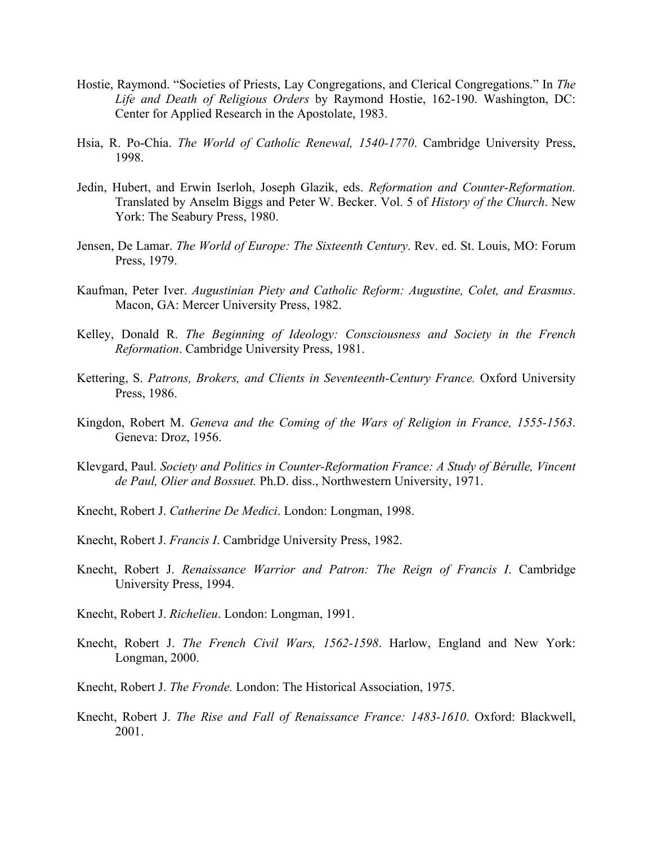- Hostie, Raymond. "Societies of Priests, Lay Congregations, and Clerical Congregations." In *The Life and Death of Religious Orders* by Raymond Hostie, 162-190. Washington, DC: Center for Applied Research in the Apostolate, 1983.
- Hsia, R. Po-Chia. *The World of Catholic Renewal, 1540-1770*. Cambridge University Press, 1998.
- Jedin, Hubert, and Erwin Iserloh, Joseph Glazik, eds. *Reformation and Counter-Reformation.*  Translated by Anselm Biggs and Peter W. Becker. Vol. 5 of *History of the Church*. New York: The Seabury Press, 1980.
- Jensen, De Lamar. *The World of Europe: The Sixteenth Century*. Rev. ed. St. Louis, MO: Forum Press, 1979.
- Kaufman, Peter Iver. *Augustinian Piety and Catholic Reform: Augustine, Colet, and Erasmus*. Macon, GA: Mercer University Press, 1982.
- Kelley, Donald R. *The Beginning of Ideology: Consciousness and Society in the French Reformation*. Cambridge University Press, 1981.
- Kettering, S. *Patrons, Brokers, and Clients in Seventeenth-Century France.* Oxford University Press, 1986.
- Kingdon, Robert M. *Geneva and the Coming of the Wars of Religion in France, 1555-1563*. Geneva: Droz, 1956.
- Klevgard, Paul. *Society and Politics in Counter-Reformation France: A Study of Bérulle, Vincent de Paul, Olier and Bossuet.* Ph.D. diss., Northwestern University, 1971.
- Knecht, Robert J. *Catherine De Medici*. London: Longman, 1998.
- Knecht, Robert J. *Francis I*. Cambridge University Press, 1982.
- Knecht, Robert J. *Renaissance Warrior and Patron: The Reign of Francis I*. Cambridge University Press, 1994.
- Knecht, Robert J. *Richelieu*. London: Longman, 1991.
- Knecht, Robert J. *The French Civil Wars, 1562-1598*. Harlow, England and New York: Longman, 2000.
- Knecht, Robert J. *The Fronde.* London: The Historical Association, 1975.
- Knecht, Robert J. *The Rise and Fall of Renaissance France: 1483-1610*. Oxford: Blackwell, 2001.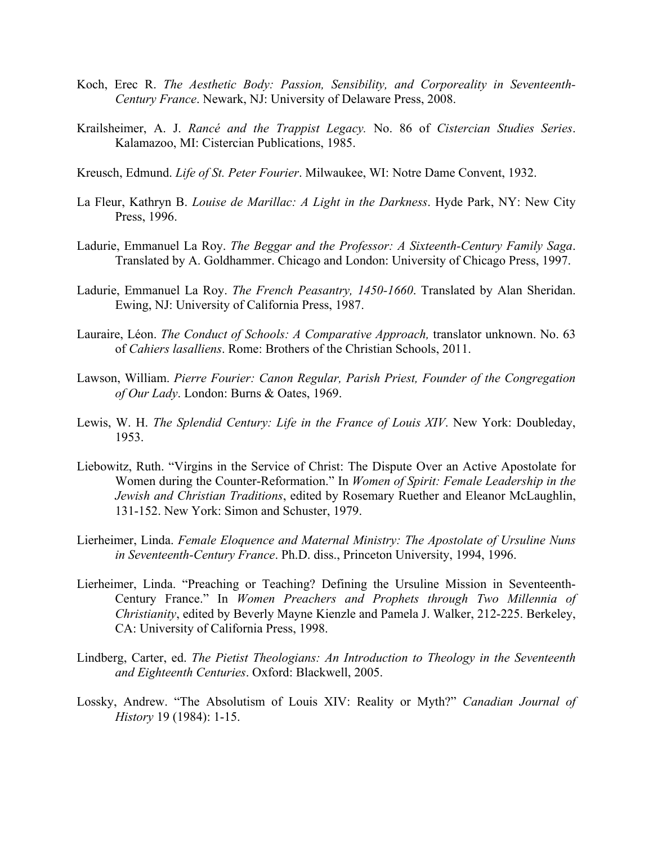- Koch, Erec R. *The Aesthetic Body: Passion, Sensibility, and Corporeality in Seventeenth-Century France*. Newark, NJ: University of Delaware Press, 2008.
- Krailsheimer, A. J. *Rancé and the Trappist Legacy.* No. 86 of *Cistercian Studies Series*. Kalamazoo, MI: Cistercian Publications, 1985.
- Kreusch, Edmund. *Life of St. Peter Fourier*. Milwaukee, WI: Notre Dame Convent, 1932.
- La Fleur, Kathryn B. *Louise de Marillac: A Light in the Darkness*. Hyde Park, NY: New City Press, 1996.
- Ladurie, Emmanuel La Roy. *The Beggar and the Professor: A Sixteenth-Century Family Saga*. Translated by A. Goldhammer. Chicago and London: University of Chicago Press, 1997.
- Ladurie, Emmanuel La Roy. *The French Peasantry, 1450-1660*. Translated by Alan Sheridan. Ewing, NJ: University of California Press, 1987.
- Lauraire, Léon. *The Conduct of Schools: A Comparative Approach,* translator unknown. No. 63 of *Cahiers lasalliens*. Rome: Brothers of the Christian Schools, 2011.
- Lawson, William. *Pierre Fourier: Canon Regular, Parish Priest, Founder of the Congregation of Our Lady*. London: Burns & Oates, 1969.
- Lewis, W. H. *The Splendid Century: Life in the France of Louis XIV*. New York: Doubleday, 1953.
- Liebowitz, Ruth. "Virgins in the Service of Christ: The Dispute Over an Active Apostolate for Women during the Counter-Reformation." In *Women of Spirit: Female Leadership in the Jewish and Christian Traditions*, edited by Rosemary Ruether and Eleanor McLaughlin, 131-152. New York: Simon and Schuster, 1979.
- Lierheimer, Linda. *Female Eloquence and Maternal Ministry: The Apostolate of Ursuline Nuns in Seventeenth-Century France*. Ph.D. diss., Princeton University, 1994, 1996.
- Lierheimer, Linda. "Preaching or Teaching? Defining the Ursuline Mission in Seventeenth-Century France." In *Women Preachers and Prophets through Two Millennia of Christianity*, edited by Beverly Mayne Kienzle and Pamela J. Walker, 212-225. Berkeley, CA: University of California Press, 1998.
- Lindberg, Carter, ed. *The Pietist Theologians: An Introduction to Theology in the Seventeenth and Eighteenth Centuries*. Oxford: Blackwell, 2005.
- Lossky, Andrew. "The Absolutism of Louis XIV: Reality or Myth?" *Canadian Journal of History* 19 (1984): 1-15.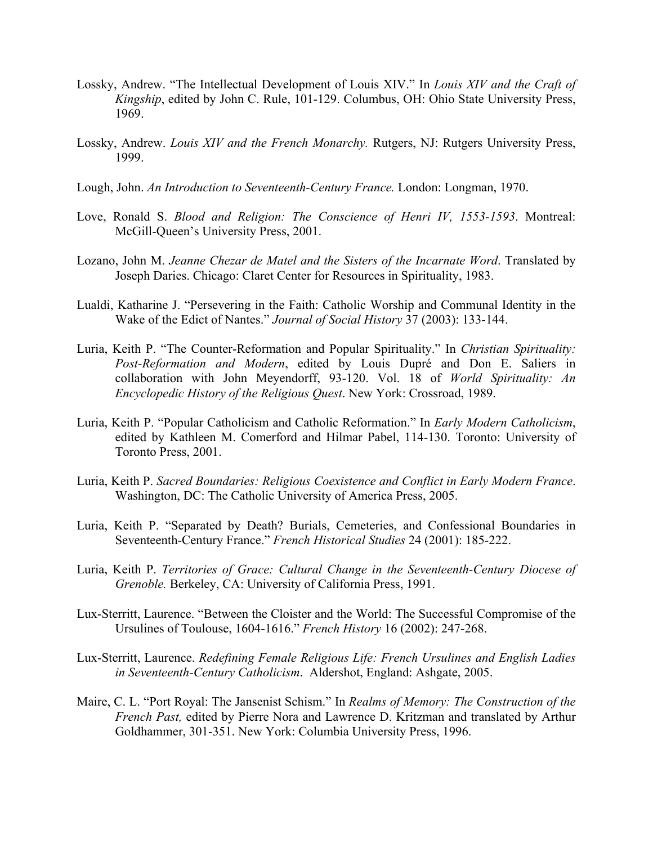- Lossky, Andrew. "The Intellectual Development of Louis XIV." In *Louis XIV and the Craft of Kingship*, edited by John C. Rule, 101-129. Columbus, OH: Ohio State University Press, 1969.
- Lossky, Andrew. *Louis XIV and the French Monarchy.* Rutgers, NJ: Rutgers University Press, 1999.
- Lough, John. *An Introduction to Seventeenth-Century France.* London: Longman, 1970.
- Love, Ronald S. *Blood and Religion: The Conscience of Henri IV, 1553-1593*. Montreal: McGill-Queen's University Press, 2001.
- Lozano, John M. *Jeanne Chezar de Matel and the Sisters of the Incarnate Word*. Translated by Joseph Daries. Chicago: Claret Center for Resources in Spirituality, 1983.
- Lualdi, Katharine J. "Persevering in the Faith: Catholic Worship and Communal Identity in the Wake of the Edict of Nantes." *Journal of Social History* 37 (2003): 133-144.
- Luria, Keith P. "The Counter-Reformation and Popular Spirituality." In *Christian Spirituality: Post-Reformation and Modern*, edited by Louis Dupré and Don E. Saliers in collaboration with John Meyendorff, 93-120. Vol. 18 of *World Spirituality: An Encyclopedic History of the Religious Quest*. New York: Crossroad, 1989.
- Luria, Keith P. "Popular Catholicism and Catholic Reformation." In *Early Modern Catholicism*, edited by Kathleen M. Comerford and Hilmar Pabel, 114-130. Toronto: University of Toronto Press, 2001.
- Luria, Keith P. *Sacred Boundaries: Religious Coexistence and Conflict in Early Modern France*. Washington, DC: The Catholic University of America Press, 2005.
- Luria, Keith P. "Separated by Death? Burials, Cemeteries, and Confessional Boundaries in Seventeenth-Century France." *French Historical Studies* 24 (2001): 185-222.
- Luria, Keith P. *Territories of Grace: Cultural Change in the Seventeenth-Century Diocese of Grenoble.* Berkeley, CA: University of California Press, 1991.
- Lux-Sterritt, Laurence. "Between the Cloister and the World: The Successful Compromise of the Ursulines of Toulouse, 1604-1616." *French History* 16 (2002): 247-268.
- Lux-Sterritt, Laurence. *Redefining Female Religious Life: French Ursulines and English Ladies in Seventeenth-Century Catholicism*. Aldershot, England: Ashgate, 2005.
- Maire, C. L. "Port Royal: The Jansenist Schism." In *Realms of Memory: The Construction of the French Past,* edited by Pierre Nora and Lawrence D. Kritzman and translated by Arthur Goldhammer, 301-351. New York: Columbia University Press, 1996.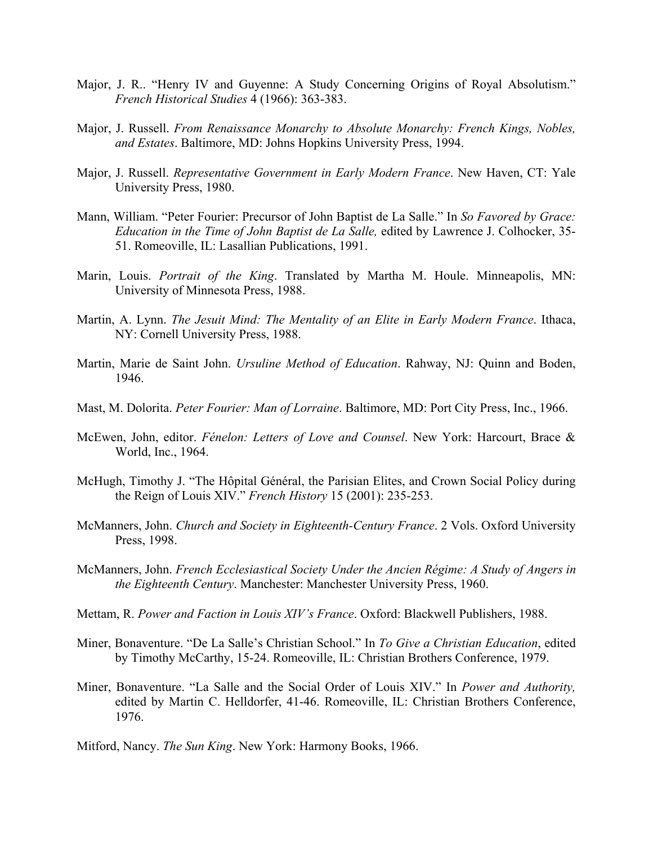- Major, J. R.. "Henry IV and Guyenne: A Study Concerning Origins of Royal Absolutism." *French Historical Studies* 4 (1966): 363-383.
- Major, J. Russell. *From Renaissance Monarchy to Absolute Monarchy: French Kings, Nobles, and Estates*. Baltimore, MD: Johns Hopkins University Press, 1994.
- Major, J. Russell. *Representative Government in Early Modern France*. New Haven, CT: Yale University Press, 1980.
- Mann, William. "Peter Fourier: Precursor of John Baptist de La Salle." In *So Favored by Grace: Education in the Time of John Baptist de La Salle,* edited by Lawrence J. Colhocker, 35- 51. Romeoville, IL: Lasallian Publications, 1991.
- Marin, Louis. *Portrait of the King*. Translated by Martha M. Houle. Minneapolis, MN: University of Minnesota Press, 1988.
- Martin, A. Lynn. *The Jesuit Mind: The Mentality of an Elite in Early Modern France*. Ithaca, NY: Cornell University Press, 1988.
- Martin, Marie de Saint John. *Ursuline Method of Education*. Rahway, NJ: Quinn and Boden, 1946.
- Mast, M. Dolorita. *Peter Fourier: Man of Lorraine*. Baltimore, MD: Port City Press, Inc., 1966.
- McEwen, John, editor. *Fénelon: Letters of Love and Counsel*. New York: Harcourt, Brace & World, Inc., 1964.
- McHugh, Timothy J. "The Hôpital Général, the Parisian Elites, and Crown Social Policy during the Reign of Louis XIV." *French History* 15 (2001): 235-253.
- McManners, John. *Church and Society in Eighteenth-Century France*. 2 Vols. Oxford University Press, 1998.
- McManners, John. *French Ecclesiastical Society Under the Ancien Régime: A Study of Angers in the Eighteenth Century*. Manchester: Manchester University Press, 1960.
- Mettam, R. *Power and Faction in Louis XIV's France*. Oxford: Blackwell Publishers, 1988.
- Miner, Bonaventure. "De La Salle's Christian School." In *To Give a Christian Education*, edited by Timothy McCarthy, 15-24. Romeoville, IL: Christian Brothers Conference, 1979.
- Miner, Bonaventure. "La Salle and the Social Order of Louis XIV." In *Power and Authority,* edited by Martin C. Helldorfer, 41-46. Romeoville, IL: Christian Brothers Conference, 1976.
- Mitford, Nancy. *The Sun King*. New York: Harmony Books, 1966.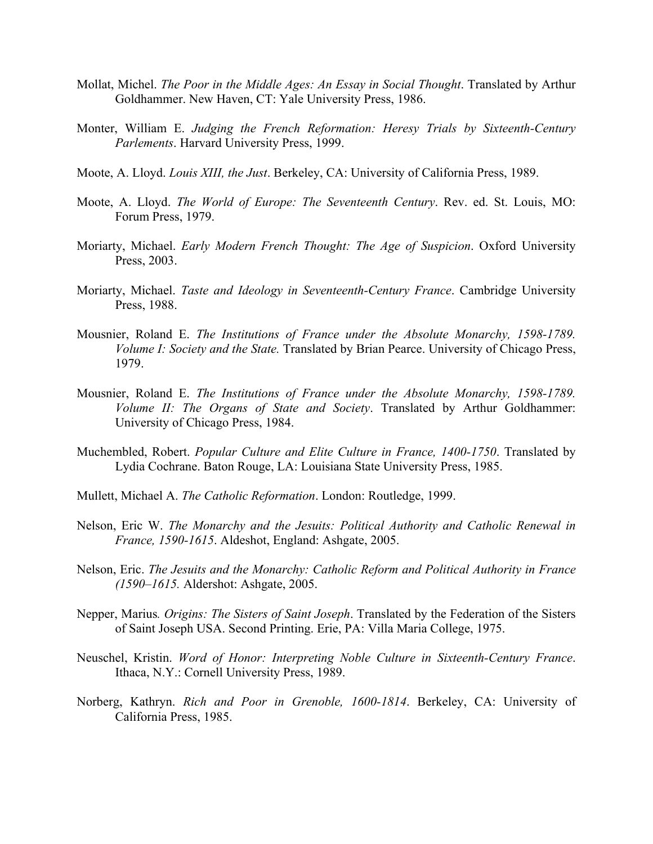- Mollat, Michel. *The Poor in the Middle Ages: An Essay in Social Thought*. Translated by Arthur Goldhammer. New Haven, CT: Yale University Press, 1986.
- Monter, William E. *Judging the French Reformation: Heresy Trials by Sixteenth-Century Parlements*. Harvard University Press, 1999.
- Moote, A. Lloyd. *Louis XIII, the Just*. Berkeley, CA: University of California Press, 1989.
- Moote, A. Lloyd. *The World of Europe: The Seventeenth Century*. Rev. ed. St. Louis, MO: Forum Press, 1979.
- Moriarty, Michael. *Early Modern French Thought: The Age of Suspicion*. Oxford University Press, 2003.
- Moriarty, Michael. *Taste and Ideology in Seventeenth-Century France*. Cambridge University Press, 1988.
- Mousnier, Roland E. *The Institutions of France under the Absolute Monarchy, 1598-1789. Volume I: Society and the State.* Translated by Brian Pearce. University of Chicago Press, 1979.
- Mousnier, Roland E. *The Institutions of France under the Absolute Monarchy, 1598-1789. Volume II: The Organs of State and Society*. Translated by Arthur Goldhammer: University of Chicago Press, 1984.
- Muchembled, Robert. *Popular Culture and Elite Culture in France, 1400-1750*. Translated by Lydia Cochrane. Baton Rouge, LA: Louisiana State University Press, 1985.
- Mullett, Michael A. *The Catholic Reformation*. London: Routledge, 1999.
- Nelson, Eric W. *The Monarchy and the Jesuits: Political Authority and Catholic Renewal in France, 1590-1615*. Aldeshot, England: Ashgate, 2005.
- Nelson, Eric. *The Jesuits and the Monarchy: Catholic Reform and Political Authority in France (1590–1615.* Aldershot: Ashgate, 2005.
- Nepper, Marius*. Origins: The Sisters of Saint Joseph*. Translated by the Federation of the Sisters of Saint Joseph USA. Second Printing. Erie, PA: Villa Maria College, 1975.
- Neuschel, Kristin. *Word of Honor: Interpreting Noble Culture in Sixteenth-Century France*. Ithaca, N.Y.: Cornell University Press, 1989.
- Norberg, Kathryn. *Rich and Poor in Grenoble, 1600-1814*. Berkeley, CA: University of California Press, 1985.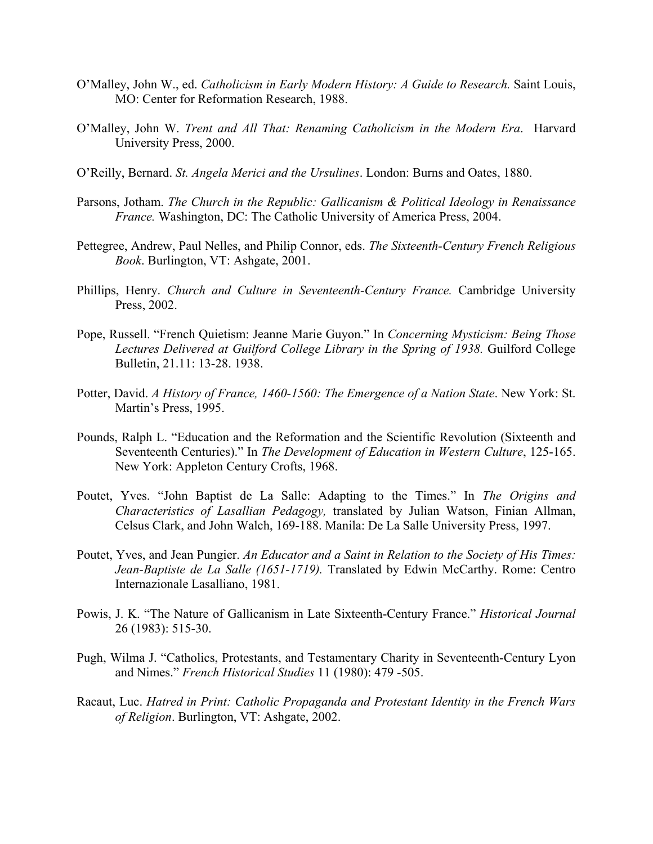- O'Malley, John W., ed. *Catholicism in Early Modern History: A Guide to Research.* Saint Louis, MO: Center for Reformation Research, 1988.
- O'Malley, John W. *Trent and All That: Renaming Catholicism in the Modern Era*. Harvard University Press, 2000.
- O'Reilly, Bernard. *St. Angela Merici and the Ursulines*. London: Burns and Oates, 1880.
- Parsons, Jotham. *The Church in the Republic: Gallicanism & Political Ideology in Renaissance France.* Washington, DC: The Catholic University of America Press, 2004.
- Pettegree, Andrew, Paul Nelles, and Philip Connor, eds. *The Sixteenth-Century French Religious Book*. Burlington, VT: Ashgate, 2001.
- Phillips, Henry. *Church and Culture in Seventeenth-Century France.* Cambridge University Press, 2002.
- Pope, Russell. "French Quietism: Jeanne Marie Guyon." In *Concerning Mysticism: Being Those Lectures Delivered at Guilford College Library in the Spring of 1938.* Guilford College Bulletin, 21.11: 13-28. 1938.
- Potter, David. *A History of France, 1460-1560: The Emergence of a Nation State*. New York: St. Martin's Press, 1995.
- Pounds, Ralph L. "Education and the Reformation and the Scientific Revolution (Sixteenth and Seventeenth Centuries)." In *The Development of Education in Western Culture*, 125-165. New York: Appleton Century Crofts, 1968.
- Poutet, Yves. "John Baptist de La Salle: Adapting to the Times." In *The Origins and Characteristics of Lasallian Pedagogy,* translated by Julian Watson, Finian Allman, Celsus Clark, and John Walch, 169-188. Manila: De La Salle University Press, 1997.
- Poutet, Yves, and Jean Pungier. *An Educator and a Saint in Relation to the Society of His Times: Jean-Baptiste de La Salle (1651-1719).* Translated by Edwin McCarthy. Rome: Centro Internazionale Lasalliano, 1981.
- Powis, J. K. "The Nature of Gallicanism in Late Sixteenth-Century France." *Historical Journal* 26 (1983): 515-30.
- Pugh, Wilma J. "Catholics, Protestants, and Testamentary Charity in Seventeenth-Century Lyon and Nimes." *French Historical Studies* 11 (1980): 479 -505.
- Racaut, Luc. *Hatred in Print: Catholic Propaganda and Protestant Identity in the French Wars of Religion*. Burlington, VT: Ashgate, 2002.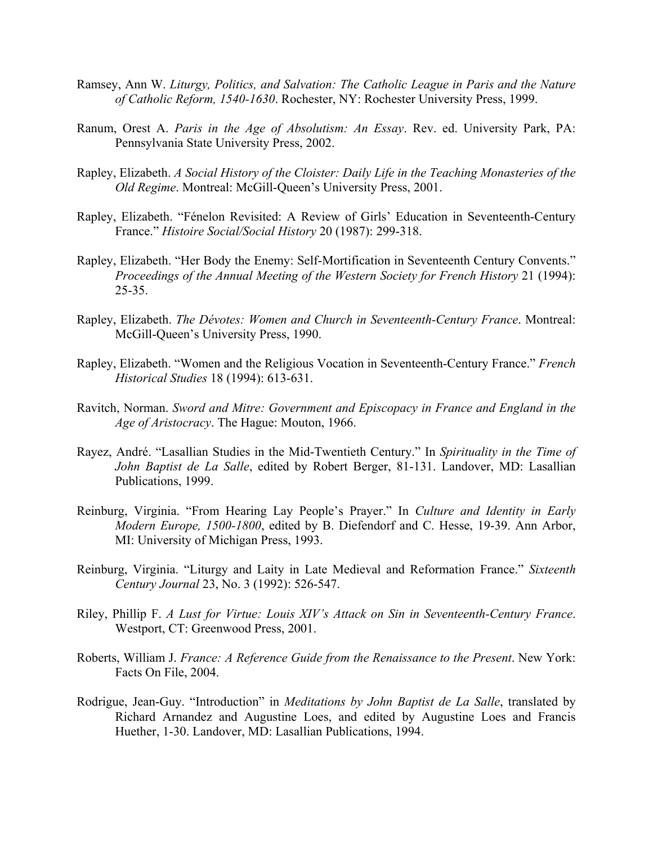- Ramsey, Ann W. *Liturgy, Politics, and Salvation: The Catholic League in Paris and the Nature of Catholic Reform, 1540-1630*. Rochester, NY: Rochester University Press, 1999.
- Ranum, Orest A. *Paris in the Age of Absolutism: An Essay*. Rev. ed. University Park, PA: Pennsylvania State University Press, 2002.
- Rapley, Elizabeth. *A Social History of the Cloister: Daily Life in the Teaching Monasteries of the Old Regime*. Montreal: McGill-Queen's University Press, 2001.
- Rapley, Elizabeth. "Fénelon Revisited: A Review of Girls' Education in Seventeenth-Century France." *Histoire Social/Social History* 20 (1987): 299-318.
- Rapley, Elizabeth. "Her Body the Enemy: Self-Mortification in Seventeenth Century Convents." *Proceedings of the Annual Meeting of the Western Society for French History* 21 (1994):  $25 - 35$ .
- Rapley, Elizabeth. *The Dévotes: Women and Church in Seventeenth-Century France*. Montreal: McGill-Queen's University Press, 1990.
- Rapley, Elizabeth. "Women and the Religious Vocation in Seventeenth-Century France." *French Historical Studies* 18 (1994): 613-631.
- Ravitch, Norman. *Sword and Mitre: Government and Episcopacy in France and England in the Age of Aristocracy*. The Hague: Mouton, 1966.
- Rayez, André. "Lasallian Studies in the Mid-Twentieth Century." In *Spirituality in the Time of John Baptist de La Salle*, edited by Robert Berger, 81-131. Landover, MD: Lasallian Publications, 1999.
- Reinburg, Virginia. "From Hearing Lay People's Prayer." In *Culture and Identity in Early Modern Europe, 1500-1800*, edited by B. Diefendorf and C. Hesse, 19-39. Ann Arbor, MI: University of Michigan Press, 1993.
- Reinburg, Virginia. "Liturgy and Laity in Late Medieval and Reformation France." *Sixteenth Century Journal* 23, No. 3 (1992): 526-547.
- Riley, Phillip F. *A Lust for Virtue: Louis XIV's Attack on Sin in Seventeenth-Century France*. Westport, CT: Greenwood Press, 2001.
- Roberts, William J. *France: A Reference Guide from the Renaissance to the Present*. New York: Facts On File, 2004.
- Rodrigue, Jean-Guy. "Introduction" in *Meditations by John Baptist de La Salle*, translated by Richard Arnandez and Augustine Loes, and edited by Augustine Loes and Francis Huether, 1-30. Landover, MD: Lasallian Publications, 1994.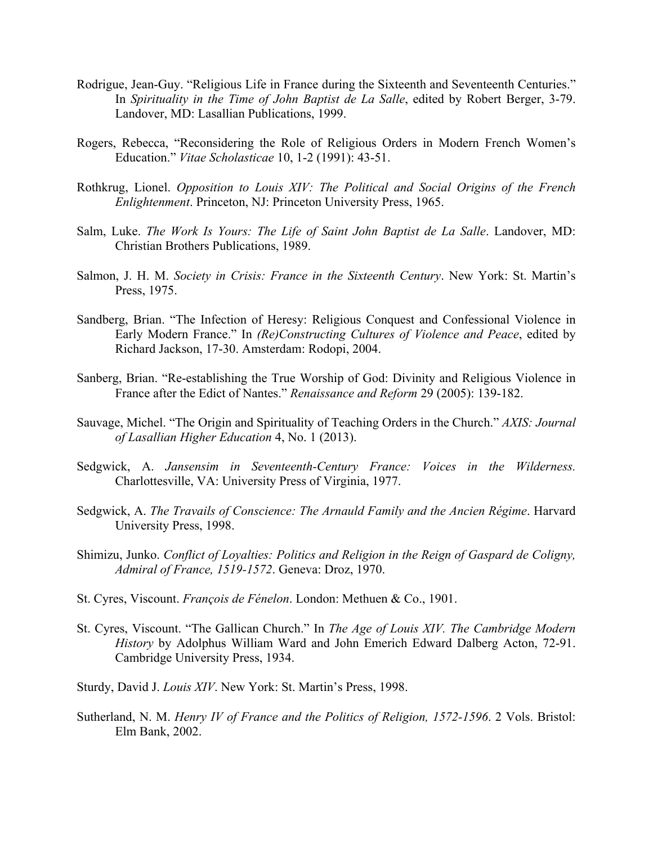- Rodrigue, Jean-Guy. "Religious Life in France during the Sixteenth and Seventeenth Centuries." In *Spirituality in the Time of John Baptist de La Salle*, edited by Robert Berger, 3-79. Landover, MD: Lasallian Publications, 1999.
- Rogers, Rebecca, "Reconsidering the Role of Religious Orders in Modern French Women's Education." *Vitae Scholasticae* 10, 1-2 (1991): 43-51.
- Rothkrug, Lionel. *Opposition to Louis XIV: The Political and Social Origins of the French Enlightenment*. Princeton, NJ: Princeton University Press, 1965.
- Salm, Luke. *The Work Is Yours: The Life of Saint John Baptist de La Salle*. Landover, MD: Christian Brothers Publications, 1989.
- Salmon, J. H. M. *Society in Crisis: France in the Sixteenth Century*. New York: St. Martin's Press, 1975.
- Sandberg, Brian. "The Infection of Heresy: Religious Conquest and Confessional Violence in Early Modern France." In *(Re)Constructing Cultures of Violence and Peace*, edited by Richard Jackson, 17-30. Amsterdam: Rodopi, 2004.
- Sanberg, Brian. "Re-establishing the True Worship of God: Divinity and Religious Violence in France after the Edict of Nantes." *Renaissance and Reform* 29 (2005): 139-182.
- Sauvage, Michel. "The Origin and Spirituality of Teaching Orders in the Church." *AXIS: Journal of Lasallian Higher Education* 4, No. 1 (2013).
- Sedgwick, A. *Jansensim in Seventeenth-Century France: Voices in the Wilderness.* Charlottesville, VA: University Press of Virginia, 1977.
- Sedgwick, A. *The Travails of Conscience: The Arnauld Family and the Ancien Régime*. Harvard University Press, 1998.
- Shimizu, Junko. *Conflict of Loyalties: Politics and Religion in the Reign of Gaspard de Coligny, Admiral of France, 1519-1572*. Geneva: Droz, 1970.
- St. Cyres, Viscount. *François de Fénelon*. London: Methuen & Co., 1901.
- St. Cyres, Viscount. "The Gallican Church." In *The Age of Louis XIV. The Cambridge Modern History* by Adolphus William Ward and John Emerich Edward Dalberg Acton, 72-91. Cambridge University Press, 1934.
- Sturdy, David J. *Louis XIV*. New York: St. Martin's Press, 1998.
- Sutherland, N. M. *Henry IV of France and the Politics of Religion, 1572-1596*. 2 Vols. Bristol: Elm Bank, 2002.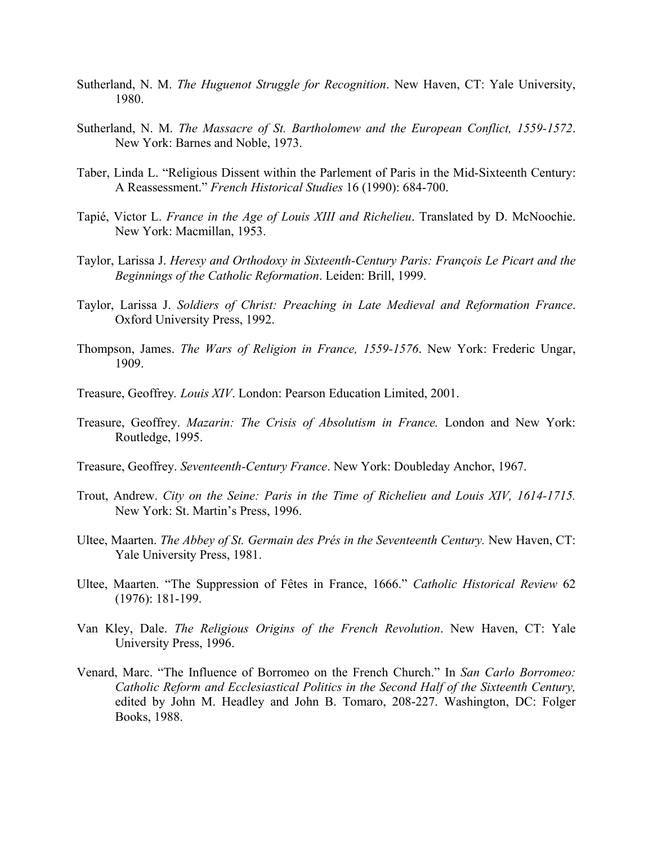- Sutherland, N. M. *The Huguenot Struggle for Recognition*. New Haven, CT: Yale University, 1980.
- Sutherland, N. M. *The Massacre of St. Bartholomew and the European Conflict, 1559-1572*. New York: Barnes and Noble, 1973.
- Taber, Linda L. "Religious Dissent within the Parlement of Paris in the Mid-Sixteenth Century: A Reassessment." *French Historical Studies* 16 (1990): 684-700.
- Tapié, Victor L. *France in the Age of Louis XIII and Richelieu*. Translated by D. McNoochie. New York: Macmillan, 1953.
- Taylor, Larissa J. *Heresy and Orthodoxy in Sixteenth-Century Paris: François Le Picart and the Beginnings of the Catholic Reformation*. Leiden: Brill, 1999.
- Taylor, Larissa J. *Soldiers of Christ: Preaching in Late Medieval and Reformation France*. Oxford University Press, 1992.
- Thompson, James. *The Wars of Religion in France, 1559-1576*. New York: Frederic Ungar, 1909.
- Treasure, Geoffrey*. Louis XIV*. London: Pearson Education Limited, 2001.
- Treasure, Geoffrey. *Mazarin: The Crisis of Absolutism in France.* London and New York: Routledge, 1995.
- Treasure, Geoffrey. *Seventeenth-Century France*. New York: Doubleday Anchor, 1967.
- Trout, Andrew. *City on the Seine: Paris in the Time of Richelieu and Louis XIV, 1614-1715.* New York: St. Martin's Press, 1996.
- Ultee, Maarten. *The Abbey of St. Germain des Prés in the Seventeenth Century.* New Haven, CT: Yale University Press, 1981.
- Ultee, Maarten. "The Suppression of Fêtes in France, 1666." *Catholic Historical Review* 62 (1976): 181-199.
- Van Kley, Dale. *The Religious Origins of the French Revolution*. New Haven, CT: Yale University Press, 1996.
- Venard, Marc. "The Influence of Borromeo on the French Church." In *San Carlo Borromeo: Catholic Reform and Ecclesiastical Politics in the Second Half of the Sixteenth Century,*  edited by John M. Headley and John B. Tomaro, 208-227. Washington, DC: Folger Books, 1988.